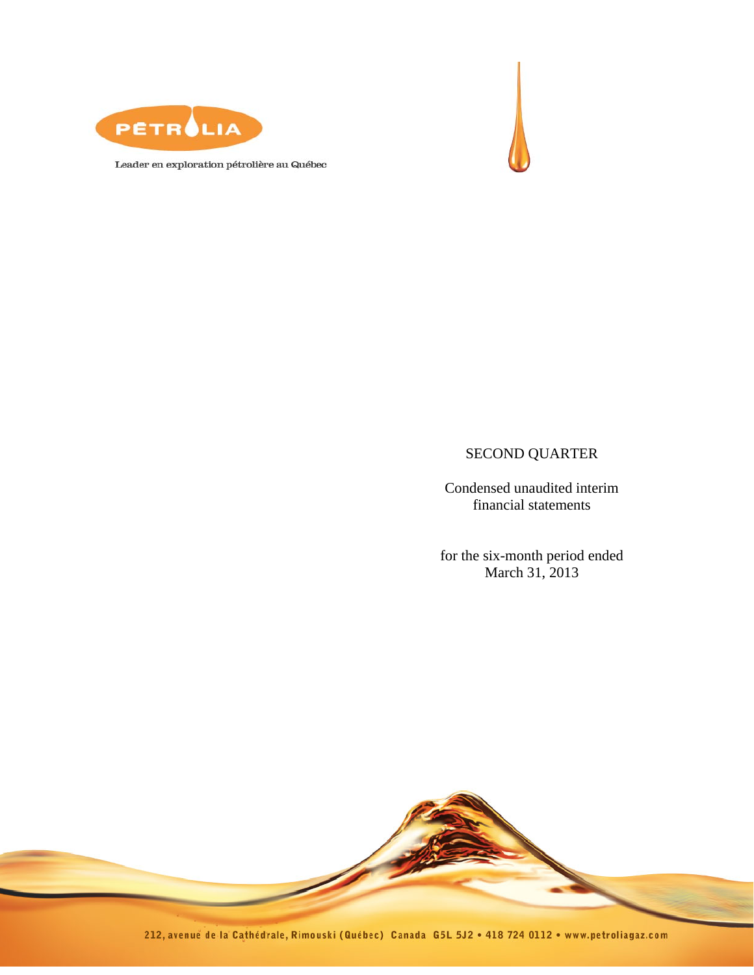



Leader en exploration pétrolière au Québec

# SECOND QUARTER

Condensed unaudited interim financial statements

for the six-month period ended March 31, 2013

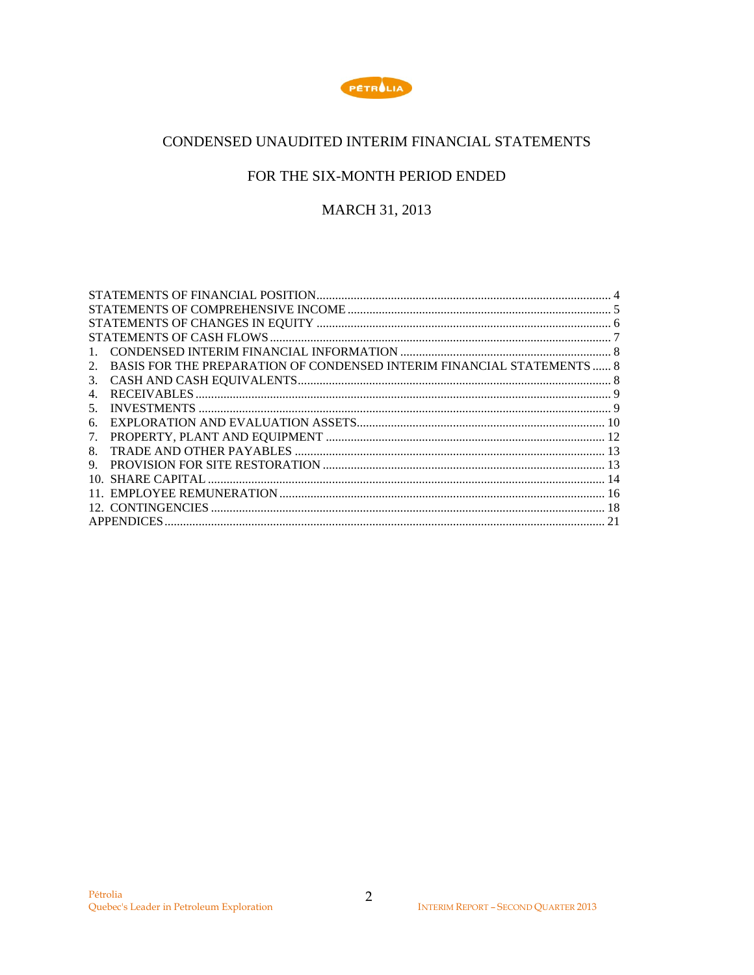

# CONDENSED UNAUDITED INTERIM FINANCIAL STATEMENTS

# FOR THE SIX-MONTH PERIOD ENDED

# MARCH 31, 2013

| 1.                                                                           |  |
|------------------------------------------------------------------------------|--|
| BASIS FOR THE PREPARATION OF CONDENSED INTERIM FINANCIAL STATEMENTS  8<br>2. |  |
| 3.                                                                           |  |
| 4.                                                                           |  |
| 5.                                                                           |  |
| б.                                                                           |  |
| 7.                                                                           |  |
| 8                                                                            |  |
| 9.                                                                           |  |
|                                                                              |  |
|                                                                              |  |
|                                                                              |  |
|                                                                              |  |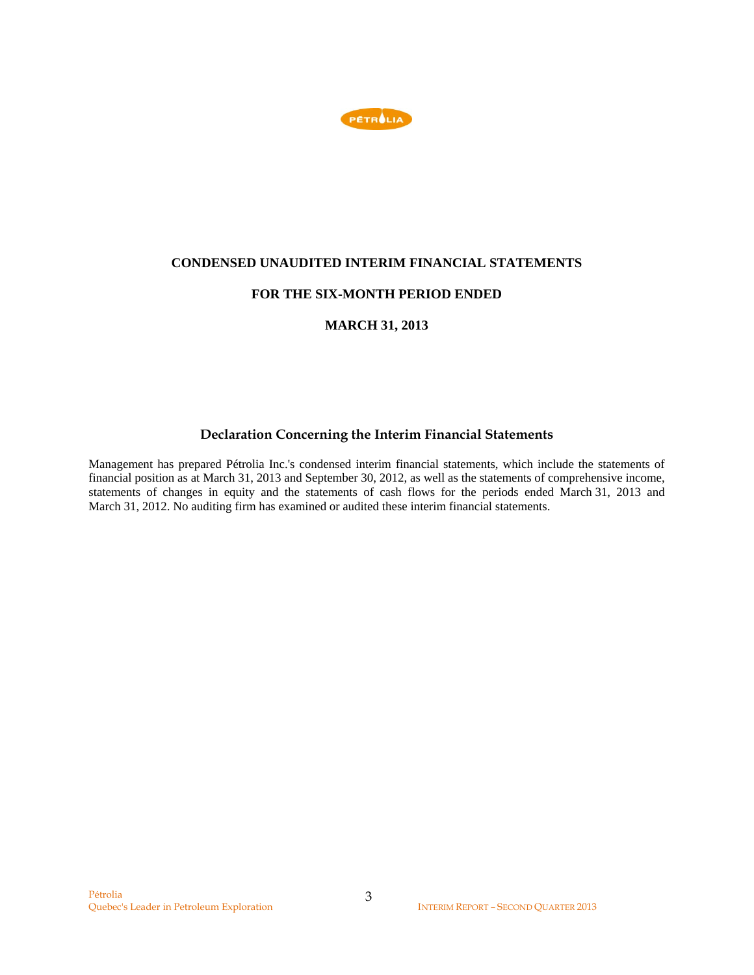

### **CONDENSED UNAUDITED INTERIM FINANCIAL STATEMENTS**

## **FOR THE SIX-MONTH PERIOD ENDED**

## **MARCH 31, 2013**

## **Declaration Concerning the Interim Financial Statements**

Management has prepared Pétrolia Inc.'s condensed interim financial statements, which include the statements of financial position as at March 31, 2013 and September 30, 2012, as well as the statements of comprehensive income, statements of changes in equity and the statements of cash flows for the periods ended March 31, 2013 and March 31, 2012. No auditing firm has examined or audited these interim financial statements.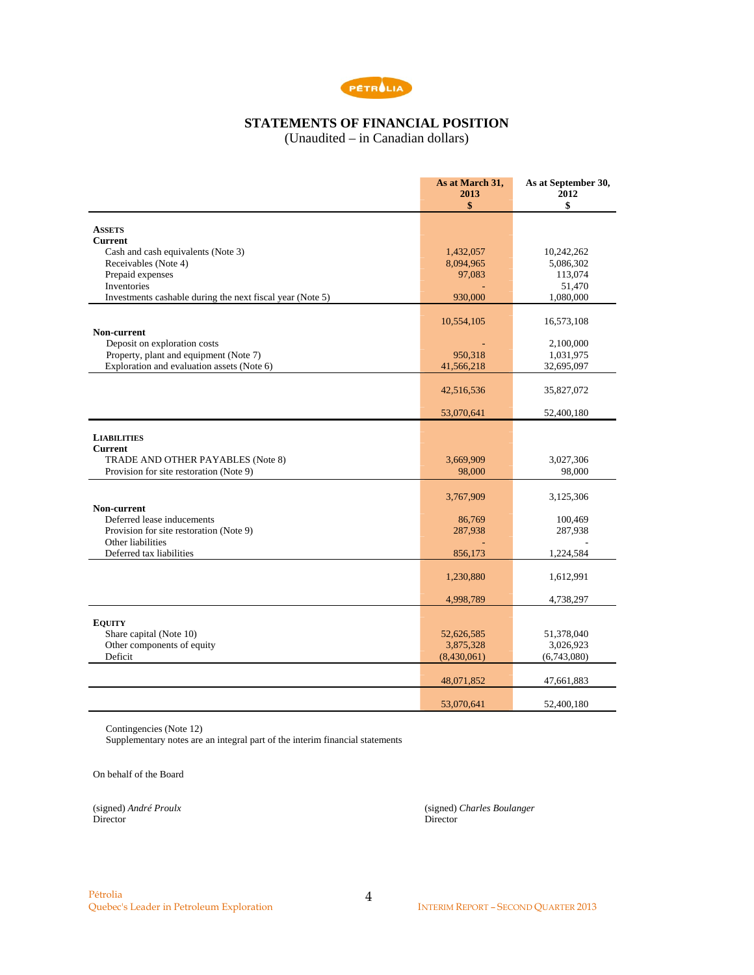

# **STATEMENTS OF FINANCIAL POSITION**

(Unaudited – in Canadian dollars)

|                                                                                      | As at March 31,<br>2013<br>\$ | As at September 30,<br>2012<br>\$ |
|--------------------------------------------------------------------------------------|-------------------------------|-----------------------------------|
| <b>ASSETS</b>                                                                        |                               |                                   |
| <b>Current</b>                                                                       |                               |                                   |
| Cash and cash equivalents (Note 3)                                                   | 1,432,057                     | 10,242,262                        |
| Receivables (Note 4)                                                                 | 8,094,965                     | 5,086,302                         |
| Prepaid expenses                                                                     | 97,083                        | 113,074                           |
| Inventories                                                                          |                               | 51,470                            |
| Investments cashable during the next fiscal year (Note 5)                            | 930,000                       | 1,080,000                         |
|                                                                                      | 10,554,105                    | 16,573,108                        |
| Non-current                                                                          |                               |                                   |
| Deposit on exploration costs                                                         |                               | 2,100,000                         |
| Property, plant and equipment (Note 7)<br>Exploration and evaluation assets (Note 6) | 950,318                       | 1,031,975                         |
|                                                                                      | 41,566,218                    | 32,695,097                        |
|                                                                                      | 42,516,536                    | 35,827,072                        |
|                                                                                      | 53,070,641                    | 52,400,180                        |
| <b>LIABILITIES</b><br><b>Current</b>                                                 |                               |                                   |
| TRADE AND OTHER PAYABLES (Note 8)                                                    | 3,669,909                     | 3,027,306                         |
| Provision for site restoration (Note 9)                                              | 98,000                        | 98,000                            |
|                                                                                      | 3,767,909                     | 3,125,306                         |
| Non-current                                                                          |                               |                                   |
| Deferred lease inducements                                                           | 86,769                        | 100,469                           |
| Provision for site restoration (Note 9)                                              | 287,938                       | 287,938                           |
| Other liabilities<br>Deferred tax liabilities                                        | 856,173                       | 1,224,584                         |
|                                                                                      | 1,230,880                     | 1,612,991                         |
|                                                                                      | 4,998,789                     | 4,738,297                         |
| <b>EQUITY</b>                                                                        |                               |                                   |
| Share capital (Note 10)                                                              | 52,626,585                    | 51,378,040                        |
| Other components of equity                                                           | 3,875,328                     | 3,026,923                         |
| Deficit                                                                              | (8,430,061)                   | (6,743,080)                       |
|                                                                                      | 48,071,852                    | 47,661,883                        |
|                                                                                      |                               |                                   |
|                                                                                      | 53,070,641                    | 52,400,180                        |

Contingencies (Note 12)

Supplementary notes are an integral part of the interim financial statements

On behalf of the Board

Director Director

(signed) *André Proulx* (signed) *Charles Boulanger*

4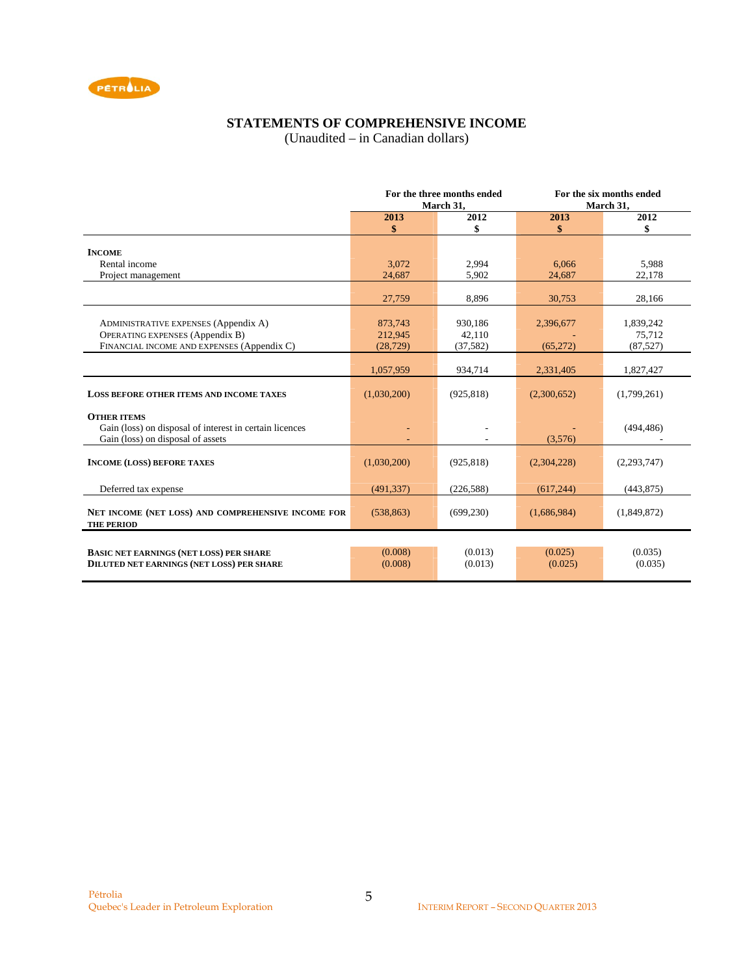

# **STATEMENTS OF COMPREHENSIVE INCOME**

(Unaudited – in Canadian dollars)

|                                                         | For the three months ended |            | For the six months ended |               |  |
|---------------------------------------------------------|----------------------------|------------|--------------------------|---------------|--|
|                                                         |                            | March 31,  |                          | March 31,     |  |
|                                                         | 2013                       | 2012       | 2013                     | 2012          |  |
|                                                         | \$                         | \$         | \$                       | \$            |  |
|                                                         |                            |            |                          |               |  |
| <b>INCOME</b>                                           |                            |            |                          |               |  |
| Rental income                                           | 3,072                      | 2,994      | 6.066                    | 5,988         |  |
| Project management                                      | 24,687                     | 5,902      | 24,687                   | 22,178        |  |
|                                                         |                            |            |                          |               |  |
|                                                         | 27,759                     | 8,896      | 30,753                   | 28,166        |  |
|                                                         |                            |            |                          |               |  |
| <b>ADMINISTRATIVE EXPENSES (Appendix A)</b>             | 873,743                    | 930,186    | 2,396,677                | 1,839,242     |  |
| <b>OPERATING EXPENSES (Appendix B)</b>                  | 212,945                    | 42,110     |                          | 75,712        |  |
| FINANCIAL INCOME AND EXPENSES (Appendix C)              | (28, 729)                  | (37, 582)  | (65,272)                 | (87, 527)     |  |
|                                                         |                            |            |                          |               |  |
|                                                         | 1,057,959                  | 934,714    | 2,331,405                | 1,827,427     |  |
|                                                         |                            |            |                          |               |  |
| <b>LOSS BEFORE OTHER ITEMS AND INCOME TAXES</b>         | (1,030,200)                | (925, 818) | (2,300,652)              | (1,799,261)   |  |
|                                                         |                            |            |                          |               |  |
| <b>OTHER ITEMS</b>                                      |                            |            |                          |               |  |
| Gain (loss) on disposal of interest in certain licences |                            |            |                          | (494, 486)    |  |
| Gain (loss) on disposal of assets                       |                            |            | (3,576)                  |               |  |
|                                                         |                            |            |                          |               |  |
| <b>INCOME (LOSS) BEFORE TAXES</b>                       | (1,030,200)                | (925, 818) | (2,304,228)              | (2, 293, 747) |  |
|                                                         |                            |            |                          |               |  |
| Deferred tax expense                                    | (491, 337)                 | (226, 588) | (617, 244)               | (443, 875)    |  |
|                                                         |                            |            |                          |               |  |
| NET INCOME (NET LOSS) AND COMPREHENSIVE INCOME FOR      | (538, 863)                 | (699, 230) | (1,686,984)              | (1,849,872)   |  |
| <b>THE PERIOD</b>                                       |                            |            |                          |               |  |
|                                                         |                            |            |                          |               |  |
| <b>BASIC NET EARNINGS (NET LOSS) PER SHARE</b>          | (0.008)                    | (0.013)    | (0.025)                  | (0.035)       |  |
| <b>DILUTED NET EARNINGS (NET LOSS) PER SHARE</b>        | (0.008)                    | (0.013)    | (0.025)                  | (0.035)       |  |
|                                                         |                            |            |                          |               |  |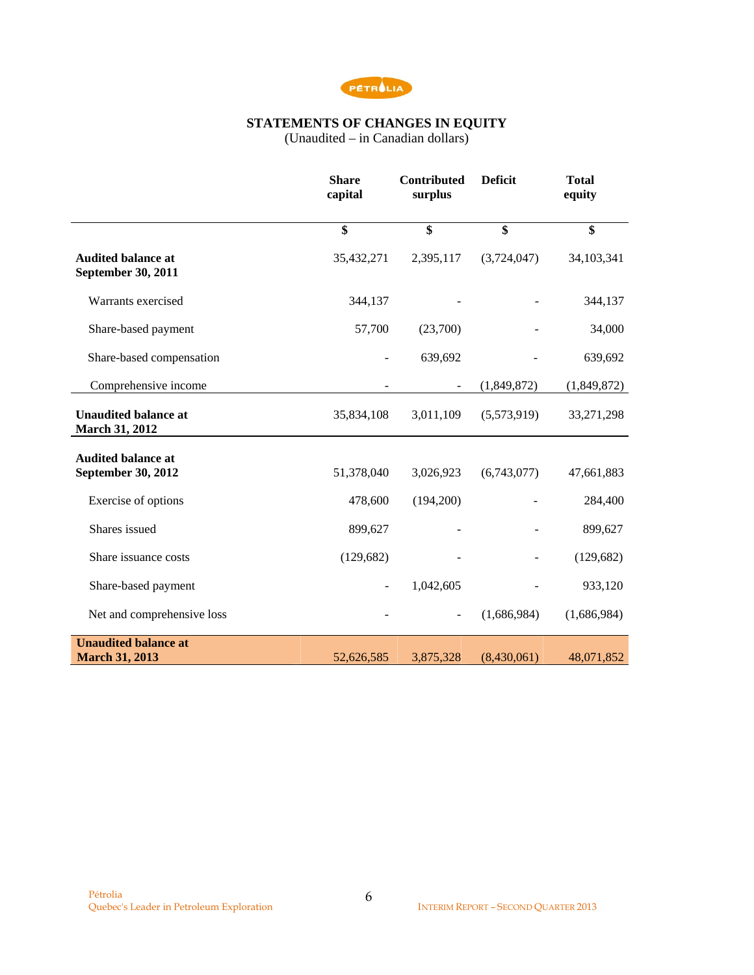

# **STATEMENTS OF CHANGES IN EQUITY**

(Unaudited – in Canadian dollars)

|                                                        | <b>Share</b><br>capital | <b>Contributed</b><br>surplus | <b>Deficit</b> | <b>Total</b><br>equity |
|--------------------------------------------------------|-------------------------|-------------------------------|----------------|------------------------|
|                                                        | $\overline{\$}$         | \$                            | \$             | $\overline{\$}$        |
| <b>Audited balance at</b><br><b>September 30, 2011</b> | 35,432,271              | 2,395,117                     | (3,724,047)    | 34,103,341             |
| Warrants exercised                                     | 344,137                 |                               |                | 344,137                |
| Share-based payment                                    | 57,700                  | (23,700)                      |                | 34,000                 |
| Share-based compensation                               |                         | 639,692                       |                | 639,692                |
| Comprehensive income                                   |                         | $\overline{\phantom{a}}$      | (1,849,872)    | (1,849,872)            |
| <b>Unaudited balance at</b><br>March 31, 2012          | 35,834,108              | 3,011,109                     | (5,573,919)    | 33,271,298             |
| <b>Audited balance at</b><br>September 30, 2012        | 51,378,040              | 3,026,923                     | (6,743,077)    | 47,661,883             |
| Exercise of options                                    | 478,600                 | (194,200)                     |                | 284,400                |
| Shares issued                                          | 899,627                 |                               |                | 899,627                |
| Share issuance costs                                   | (129, 682)              |                               |                | (129, 682)             |
| Share-based payment                                    | $\blacksquare$          | 1,042,605                     |                | 933,120                |
| Net and comprehensive loss                             |                         |                               | (1,686,984)    | (1,686,984)            |
| <b>Unaudited balance at</b><br><b>March 31, 2013</b>   | 52,626,585              | 3,875,328                     | (8,430,061)    | 48,071,852             |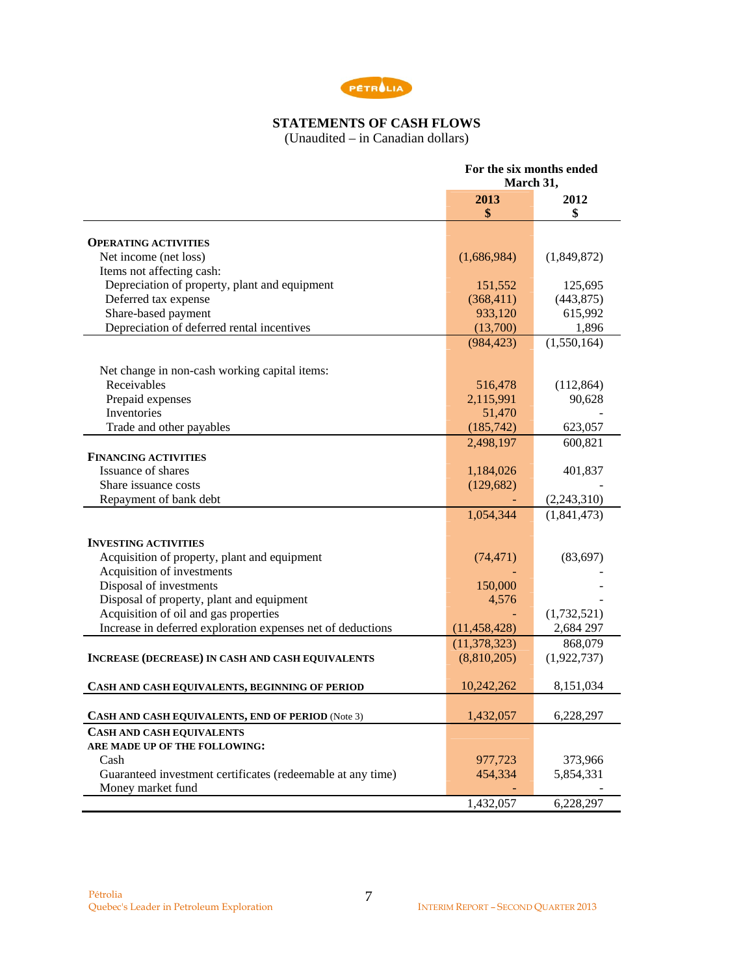

# **STATEMENTS OF CASH FLOWS**

(Unaudited – in Canadian dollars)

|                                                             | For the six months ended<br>March 31, |             |  |
|-------------------------------------------------------------|---------------------------------------|-------------|--|
|                                                             |                                       |             |  |
|                                                             | 2013                                  | 2012        |  |
|                                                             | \$                                    | \$          |  |
|                                                             |                                       |             |  |
| <b>OPERATING ACTIVITIES</b>                                 |                                       |             |  |
| Net income (net loss)                                       | (1,686,984)                           | (1,849,872) |  |
| Items not affecting cash:                                   |                                       |             |  |
| Depreciation of property, plant and equipment               | 151,552                               | 125,695     |  |
| Deferred tax expense                                        | (368, 411)                            | (443, 875)  |  |
| Share-based payment                                         | 933,120                               | 615,992     |  |
| Depreciation of deferred rental incentives                  | (13,700)                              | 1,896       |  |
|                                                             | (984, 423)                            | (1,550,164) |  |
| Net change in non-cash working capital items:               |                                       |             |  |
| Receivables                                                 | 516,478                               | (112, 864)  |  |
| Prepaid expenses                                            | 2,115,991                             | 90,628      |  |
| Inventories                                                 | 51,470                                |             |  |
|                                                             |                                       |             |  |
| Trade and other payables                                    | (185, 742)                            | 623,057     |  |
|                                                             | 2,498,197                             | 600,821     |  |
| <b>FINANCING ACTIVITIES</b>                                 |                                       |             |  |
| Issuance of shares                                          | 1,184,026                             | 401,837     |  |
| Share issuance costs                                        | (129, 682)                            |             |  |
| Repayment of bank debt                                      |                                       | (2,243,310) |  |
|                                                             | 1,054,344                             | (1,841,473) |  |
| <b>INVESTING ACTIVITIES</b>                                 |                                       |             |  |
| Acquisition of property, plant and equipment                | (74, 471)                             | (83,697)    |  |
| Acquisition of investments                                  |                                       |             |  |
| Disposal of investments                                     | 150,000                               |             |  |
| Disposal of property, plant and equipment                   | 4,576                                 |             |  |
|                                                             |                                       |             |  |
| Acquisition of oil and gas properties                       |                                       | (1,732,521) |  |
| Increase in deferred exploration expenses net of deductions | (11, 458, 428)                        | 2,684 297   |  |
|                                                             | (11, 378, 323)                        | 868,079     |  |
| <b>INCREASE (DECREASE) IN CASH AND CASH EQUIVALENTS</b>     | (8,810,205)                           | (1,922,737) |  |
| CASH AND CASH EQUIVALENTS, BEGINNING OF PERIOD              | 10,242,262                            | 8,151,034   |  |
|                                                             |                                       |             |  |
| CASH AND CASH EQUIVALENTS, END OF PERIOD (Note 3)           | 1,432,057                             | 6,228,297   |  |
| <b>CASH AND CASH EQUIVALENTS</b>                            |                                       |             |  |
| ARE MADE UP OF THE FOLLOWING:                               |                                       |             |  |
| Cash                                                        | 977,723                               | 373,966     |  |
| Guaranteed investment certificates (redeemable at any time) | 454,334                               | 5,854,331   |  |
| Money market fund                                           |                                       |             |  |
|                                                             | 1,432,057                             | 6,228,297   |  |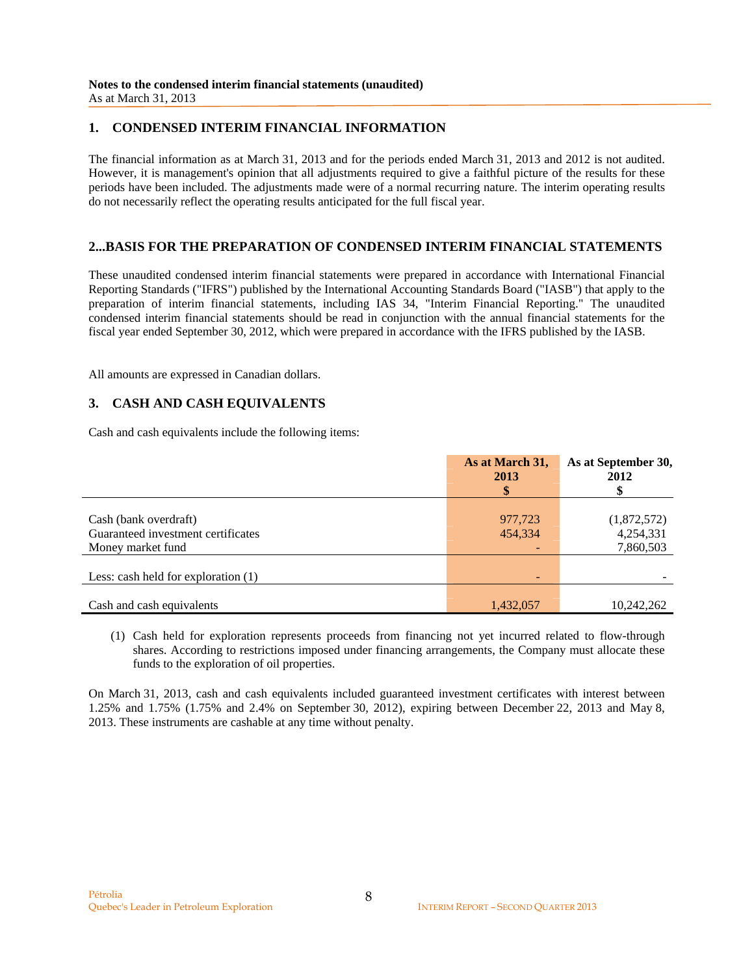## **1. CONDENSED INTERIM FINANCIAL INFORMATION**

The financial information as at March 31, 2013 and for the periods ended March 31, 2013 and 2012 is not audited. However, it is management's opinion that all adjustments required to give a faithful picture of the results for these periods have been included. The adjustments made were of a normal recurring nature. The interim operating results do not necessarily reflect the operating results anticipated for the full fiscal year.

## **2...BASIS FOR THE PREPARATION OF CONDENSED INTERIM FINANCIAL STATEMENTS**

These unaudited condensed interim financial statements were prepared in accordance with International Financial Reporting Standards ("IFRS") published by the International Accounting Standards Board ("IASB") that apply to the preparation of interim financial statements, including IAS 34, "Interim Financial Reporting." The unaudited condensed interim financial statements should be read in conjunction with the annual financial statements for the fiscal year ended September 30, 2012, which were prepared in accordance with the IFRS published by the IASB.

All amounts are expressed in Canadian dollars.

## **3. CASH AND CASH EQUIVALENTS**

Cash and cash equivalents include the following items:

|                                       | As at March 31,<br>2013 | As at September 30,<br>2012 |
|---------------------------------------|-------------------------|-----------------------------|
|                                       |                         |                             |
| Cash (bank overdraft)                 | 977,723                 | (1,872,572)                 |
| Guaranteed investment certificates    | 454,334                 | 4,254,331                   |
| Money market fund                     |                         | 7,860,503                   |
|                                       |                         |                             |
| Less: cash held for exploration $(1)$ | -                       |                             |
|                                       |                         |                             |
| Cash and cash equivalents             | 1,432,057               | 10,242,262                  |

(1) Cash held for exploration represents proceeds from financing not yet incurred related to flow-through shares. According to restrictions imposed under financing arrangements, the Company must allocate these funds to the exploration of oil properties.

On March 31, 2013, cash and cash equivalents included guaranteed investment certificates with interest between 1.25% and 1.75% (1.75% and 2.4% on September 30, 2012), expiring between December 22, 2013 and May 8, 2013. These instruments are cashable at any time without penalty.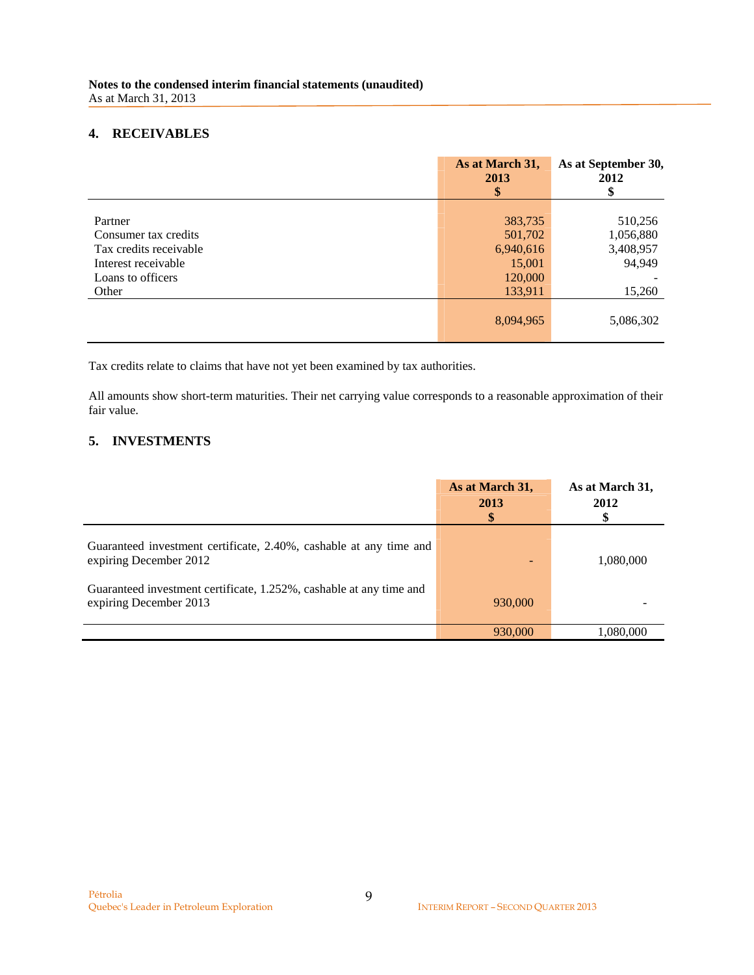## **4. RECEIVABLES**

|                        | As at March 31,<br>2013<br>\$ | As at September 30,<br>2012<br>\$ |
|------------------------|-------------------------------|-----------------------------------|
|                        |                               |                                   |
| Partner                | 383,735                       | 510,256                           |
| Consumer tax credits   | 501,702                       | 1,056,880                         |
| Tax credits receivable | 6,940,616                     | 3,408,957                         |
| Interest receivable    | 15,001                        | 94,949                            |
| Loans to officers      | 120,000                       |                                   |
| Other                  | 133,911                       | 15,260                            |
|                        | 8,094,965                     | 5,086,302                         |

Tax credits relate to claims that have not yet been examined by tax authorities.

All amounts show short-term maturities. Their net carrying value corresponds to a reasonable approximation of their fair value.

# **5. INVESTMENTS**

|                                                                                               | As at March 31,<br>2013<br>\$ | As at March 31,<br>2012 |
|-----------------------------------------------------------------------------------------------|-------------------------------|-------------------------|
| Guaranteed investment certificate, 2.40%, cashable at any time and<br>expiring December 2012  |                               | 1,080,000               |
| Guaranteed investment certificate, 1.252%, cashable at any time and<br>expiring December 2013 | 930,000                       |                         |
|                                                                                               | 930,000                       | 1,080,000               |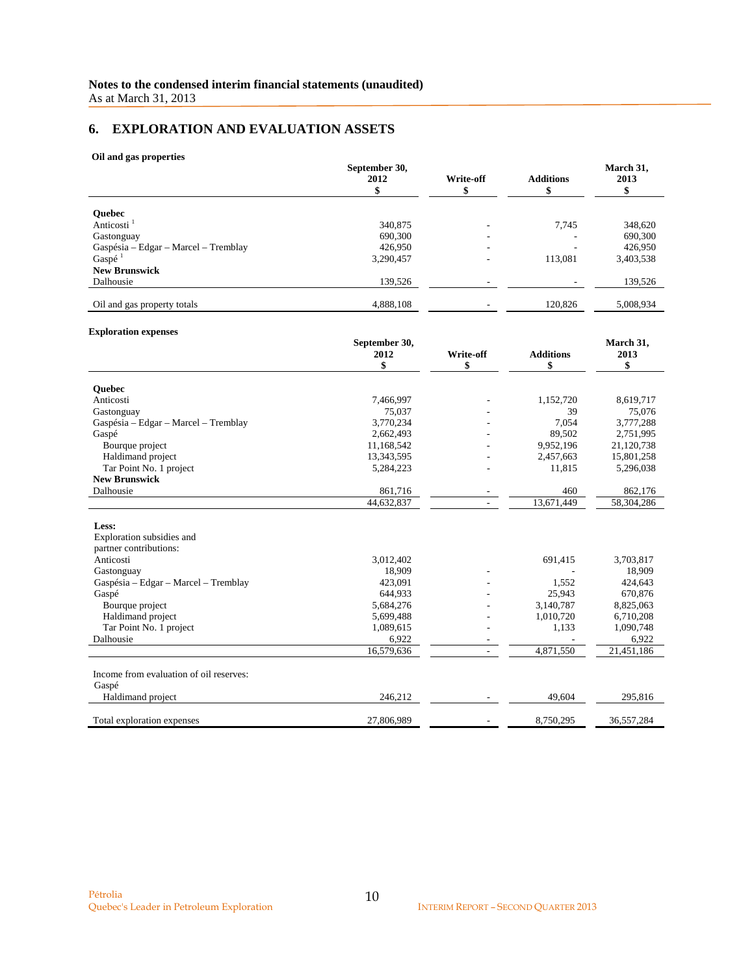# **6. EXPLORATION AND EVALUATION ASSETS**

#### **Oil and gas properties**

|                                      | September 30,<br>2012 | Write-off | <b>Additions</b> |           |
|--------------------------------------|-----------------------|-----------|------------------|-----------|
|                                      |                       |           |                  |           |
| <b>Ouebec</b>                        |                       |           |                  |           |
| Anticosti <sup>1</sup>               | 340,875               |           | 7.745            | 348,620   |
| Gastonguay                           | 690,300               | ۰         |                  | 690,300   |
| Gaspésia – Edgar – Marcel – Tremblay | 426,950               | ۰         |                  | 426,950   |
| Gaspé <sup>1</sup>                   | 3,290,457             | ۰         | 113,081          | 3,403,538 |
| <b>New Brunswick</b>                 |                       |           |                  |           |
| Dalhousie                            | 139,526               |           |                  | 139,526   |
| Oil and gas property totals          | 4,888,108             |           | 120,826          | 5,008,934 |

#### **Exploration expenses**

|                                         | September 30, |           |                  | March 31,  |
|-----------------------------------------|---------------|-----------|------------------|------------|
|                                         | 2012          | Write-off | <b>Additions</b> | 2013       |
|                                         | \$            | \$        | \$               | \$         |
| <b>Ouebec</b>                           |               |           |                  |            |
| Anticosti                               | 7,466,997     |           | 1,152,720        | 8,619,717  |
| Gastonguay                              | 75,037        |           | 39               | 75,076     |
| Gaspésia – Edgar – Marcel – Tremblay    | 3,770,234     |           | 7,054            | 3,777,288  |
| Gaspé                                   | 2,662,493     |           | 89,502           | 2,751,995  |
| Bourque project                         | 11,168,542    |           | 9,952,196        | 21,120,738 |
| Haldimand project                       | 13,343,595    |           | 2,457,663        | 15,801,258 |
| Tar Point No. 1 project                 | 5,284,223     |           | 11,815           | 5,296,038  |
| <b>New Brunswick</b>                    |               |           |                  |            |
| Dalhousie                               | 861,716       |           | 460              | 862,176    |
|                                         | 44,632,837    |           | 13,671,449       | 58,304,286 |
| Less:                                   |               |           |                  |            |
| Exploration subsidies and               |               |           |                  |            |
| partner contributions:                  |               |           |                  |            |
| Anticosti                               | 3,012,402     |           | 691,415          | 3,703,817  |
| Gastonguay                              | 18,909        |           |                  | 18,909     |
| Gaspésia - Edgar - Marcel - Tremblay    | 423,091       |           | 1,552            | 424,643    |
| Gaspé                                   | 644,933       |           | 25,943           | 670,876    |
| Bourque project                         | 5,684,276     |           | 3,140,787        | 8,825,063  |
| Haldimand project                       | 5,699,488     |           | 1,010,720        | 6,710,208  |
| Tar Point No. 1 project                 | 1,089,615     |           | 1,133            | 1,090,748  |
| Dalhousie                               | 6,922         |           |                  | 6,922      |
|                                         | 16,579,636    |           | 4,871,550        | 21,451,186 |
| Income from evaluation of oil reserves: |               |           |                  |            |
| Gaspé                                   |               |           |                  |            |
| Haldimand project                       | 246,212       |           | 49.604           | 295,816    |
|                                         |               |           |                  |            |
| Total exploration expenses              | 27,806,989    |           | 8,750,295        | 36,557,284 |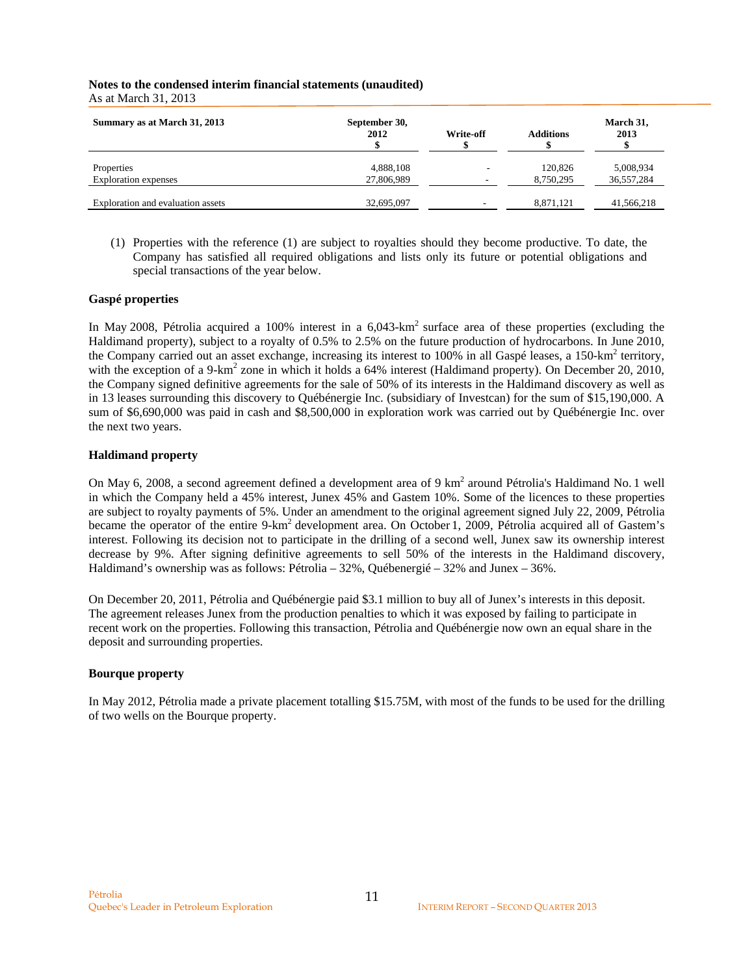| Summary as at March 31, 2013      | September 30,<br>2012 | Write-off | <b>Additions</b> | March 31,<br>2013 |
|-----------------------------------|-----------------------|-----------|------------------|-------------------|
| Properties                        | 4,888,108             | -         | 120,826          | 5,008,934         |
| <b>Exploration</b> expenses       | 27,806,989            |           | 8,750,295        | 36,557,284        |
| Exploration and evaluation assets | 32,695,097            |           | 8.871.121        | 41,566,218        |

(1) Properties with the reference (1) are subject to royalties should they become productive. To date, the Company has satisfied all required obligations and lists only its future or potential obligations and special transactions of the year below.

### **Gaspé properties**

In May 2008, Pétrolia acquired a 100% interest in a 6,043-km<sup>2</sup> surface area of these properties (excluding the Haldimand property), subject to a royalty of 0.5% to 2.5% on the future production of hydrocarbons. In June 2010, the Company carried out an asset exchange, increasing its interest to 100% in all Gaspé leases, a 150-km<sup>2</sup> territory, with the exception of a 9-km<sup>2</sup> zone in which it holds a 64% interest (Haldimand property). On December 20, 2010, the Company signed definitive agreements for the sale of 50% of its interests in the Haldimand discovery as well as in 13 leases surrounding this discovery to Québénergie Inc. (subsidiary of Investcan) for the sum of \$15,190,000. A sum of \$6,690,000 was paid in cash and \$8,500,000 in exploration work was carried out by Québénergie Inc. over the next two years.

#### **Haldimand property**

On May 6, 2008, a second agreement defined a development area of 9 km<sup>2</sup> around Pétrolia's Haldimand No. 1 well in which the Company held a 45% interest, Junex 45% and Gastem 10%. Some of the licences to these properties are subject to royalty payments of 5%. Under an amendment to the original agreement signed July 22, 2009, Pétrolia became the operator of the entire 9-km<sup>2</sup> development area. On October 1, 2009, Pétrolia acquired all of Gastem's interest. Following its decision not to participate in the drilling of a second well, Junex saw its ownership interest decrease by 9%. After signing definitive agreements to sell 50% of the interests in the Haldimand discovery, Haldimand's ownership was as follows: Pétrolia – 32%, Québenergié – 32% and Junex – 36%.

On December 20, 2011, Pétrolia and Québénergie paid \$3.1 million to buy all of Junex's interests in this deposit. The agreement releases Junex from the production penalties to which it was exposed by failing to participate in recent work on the properties. Following this transaction, Pétrolia and Québénergie now own an equal share in the deposit and surrounding properties.

### **Bourque property**

In May 2012, Pétrolia made a private placement totalling \$15.75M, with most of the funds to be used for the drilling of two wells on the Bourque property.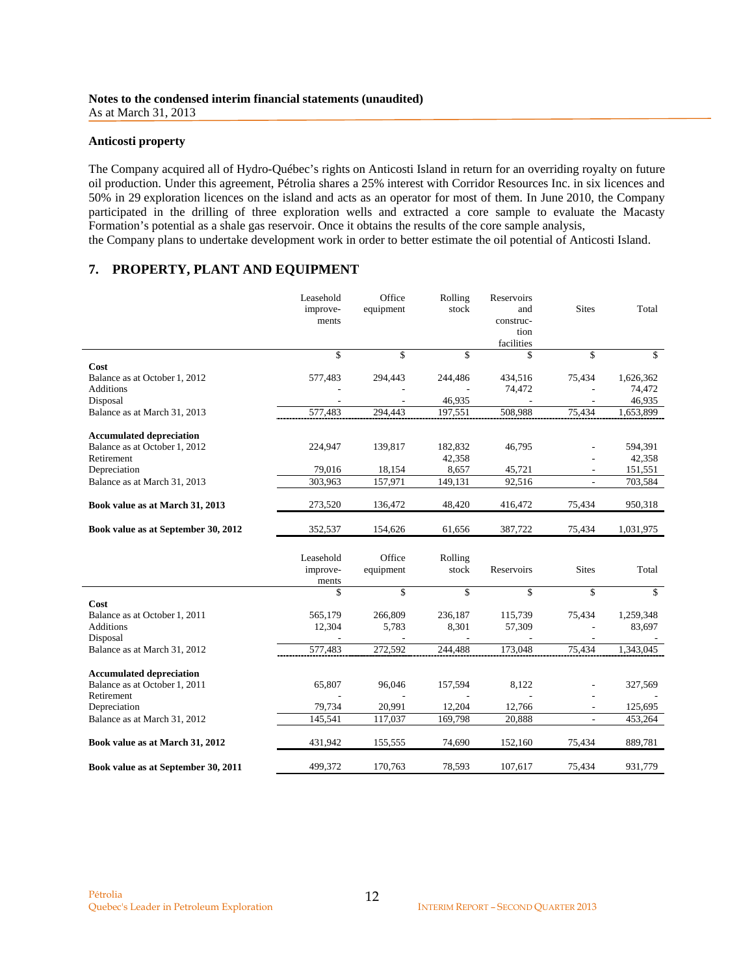#### **Anticosti property**

The Company acquired all of Hydro-Québec's rights on Anticosti Island in return for an overriding royalty on future oil production. Under this agreement, Pétrolia shares a 25% interest with Corridor Resources Inc. in six licences and 50% in 29 exploration licences on the island and acts as an operator for most of them. In June 2010, the Company participated in the drilling of three exploration wells and extracted a core sample to evaluate the Macasty Formation's potential as a shale gas reservoir. Once it obtains the results of the core sample analysis, the Company plans to undertake development work in order to better estimate the oil potential of Anticosti Island.

### **7. PROPERTY, PLANT AND EQUIPMENT**

|                                                                                | Leasehold<br>improve-<br>ments | Office<br>equipment | Rolling<br>stock | Reservoirs<br>and<br>construc-<br>tion<br>facilities | <b>Sites</b>             | Total        |
|--------------------------------------------------------------------------------|--------------------------------|---------------------|------------------|------------------------------------------------------|--------------------------|--------------|
|                                                                                | \$                             | $\mathbf{\hat{S}}$  | \$               | \$                                                   | \$                       | \$           |
| Cost                                                                           |                                |                     |                  |                                                      |                          |              |
| Balance as at October 1, 2012                                                  | 577,483                        | 294,443             | 244,486          | 434,516                                              | 75,434                   | 1,626,362    |
| <b>Additions</b>                                                               |                                |                     |                  | 74,472                                               |                          | 74,472       |
| Disposal                                                                       |                                |                     | 46,935           |                                                      |                          | 46,935       |
| Balance as at March 31, 2013                                                   | 577,483                        | 294,443             | 197,551          | 508,988                                              | 75,434                   | 1,653,899    |
| <b>Accumulated depreciation</b>                                                |                                |                     |                  |                                                      |                          |              |
| Balance as at October 1, 2012                                                  | 224,947                        | 139,817             | 182,832          | 46,795                                               |                          | 594,391      |
| Retirement                                                                     |                                |                     | 42,358           |                                                      |                          | 42,358       |
| Depreciation                                                                   | 79,016                         | 18,154              | 8,657            | 45,721                                               |                          | 151,551      |
| Balance as at March 31, 2013                                                   | 303,963                        | 157,971             | 149,131          | 92,516                                               | $\overline{\phantom{a}}$ | 703,584      |
|                                                                                |                                |                     |                  |                                                      |                          |              |
| Book value as at March 31, 2013                                                | 273,520                        | 136,472             | 48,420           | 416,472                                              | 75,434                   | 950,318      |
| Book value as at September 30, 2012                                            | 352,537                        | 154,626             | 61,656           | 387,722                                              | 75,434                   | 1,031,975    |
|                                                                                | Leasehold<br>improve-<br>ments | Office<br>equipment | Rolling<br>stock | Reservoirs                                           | <b>Sites</b>             | Total        |
|                                                                                | \$                             | \$                  | \$               | \$                                                   | \$                       | $\mathbb{S}$ |
| Cost                                                                           |                                |                     |                  |                                                      |                          |              |
| Balance as at October 1, 2011                                                  | 565,179                        | 266,809             | 236,187          | 115,739                                              | 75,434                   | 1,259,348    |
| <b>Additions</b>                                                               | 12,304                         | 5,783               | 8,301            | 57,309                                               |                          | 83,697       |
| Disposal                                                                       |                                |                     |                  |                                                      |                          |              |
| Balance as at March 31, 2012                                                   | 577,483                        | 272,592             | 244,488          | 173,048                                              | 75,434                   | 1,343,045    |
| <b>Accumulated depreciation</b><br>Balance as at October 1, 2011<br>Retirement | 65,807                         | 96,046              | 157,594          | 8,122                                                |                          | 327,569      |
| Depreciation                                                                   | 79,734                         | 20,991              | 12,204           | 12,766                                               |                          | 125,695      |
| Balance as at March 31, 2012                                                   | 145,541                        | 117,037             | 169,798          | 20,888                                               | ٠                        | 453,264      |
| Book value as at March 31, 2012                                                | 431,942                        | 155,555             | 74,690           | 152,160                                              | 75,434                   | 889,781      |
| Book value as at September 30, 2011                                            | 499,372                        | 170,763             | 78,593           | 107,617                                              | 75,434                   | 931,779      |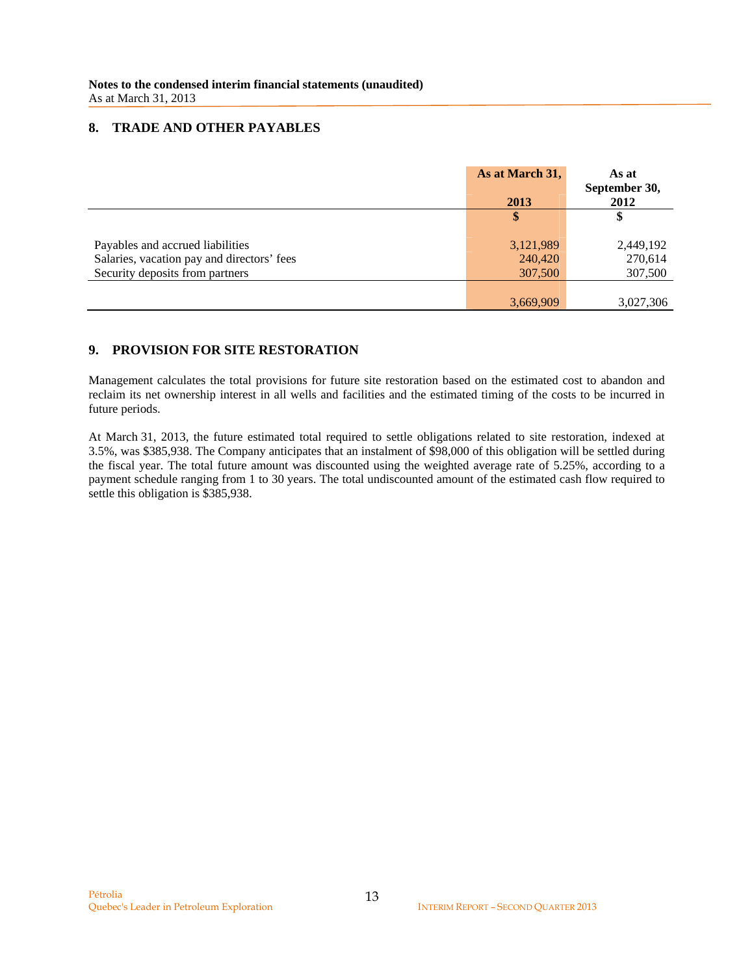### **8. TRADE AND OTHER PAYABLES**

|                                            | As at March 31, | As at<br>September 30, |
|--------------------------------------------|-----------------|------------------------|
|                                            | 2013            | 2012                   |
|                                            | \$              | \$                     |
| Payables and accrued liabilities           | 3,121,989       | 2,449,192              |
| Salaries, vacation pay and directors' fees | 240,420         | 270,614                |
| Security deposits from partners            | 307,500         | 307,500                |
|                                            |                 |                        |
|                                            | 3,669,909       | 3,027,306              |

### **9. PROVISION FOR SITE RESTORATION**

Management calculates the total provisions for future site restoration based on the estimated cost to abandon and reclaim its net ownership interest in all wells and facilities and the estimated timing of the costs to be incurred in future periods.

At March 31, 2013, the future estimated total required to settle obligations related to site restoration, indexed at 3.5%, was \$385,938. The Company anticipates that an instalment of \$98,000 of this obligation will be settled during the fiscal year. The total future amount was discounted using the weighted average rate of 5.25%, according to a payment schedule ranging from 1 to 30 years. The total undiscounted amount of the estimated cash flow required to settle this obligation is \$385,938.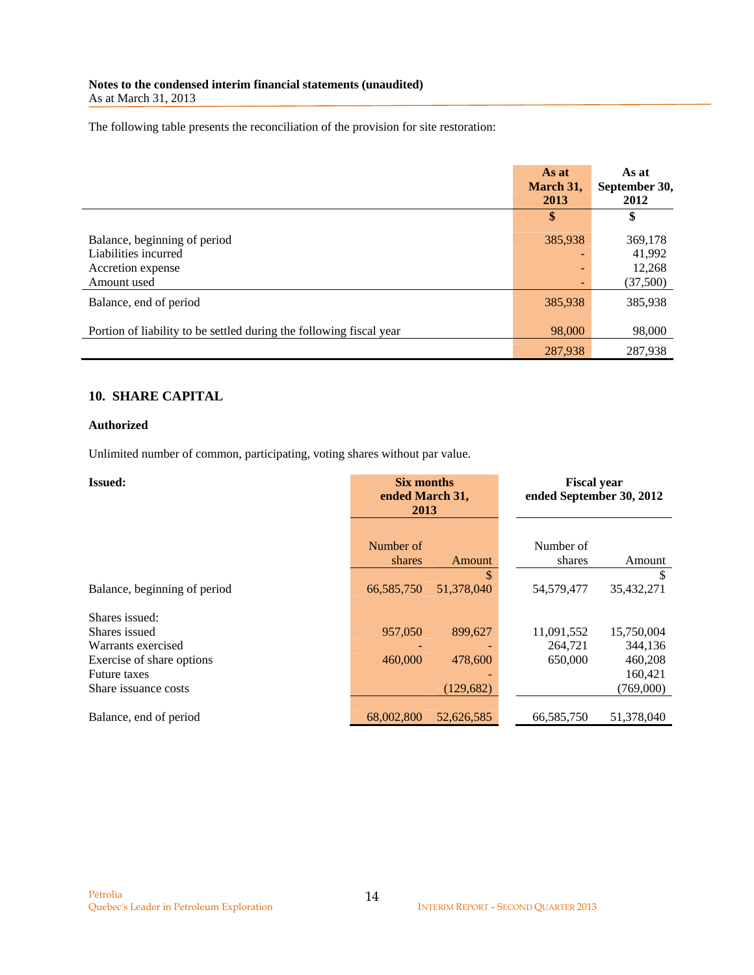The following table presents the reconciliation of the provision for site restoration:

|                                                                                          | As at<br>March 31,<br>2013 | As at<br>September 30,<br>2012          |
|------------------------------------------------------------------------------------------|----------------------------|-----------------------------------------|
|                                                                                          | \$                         | \$                                      |
| Balance, beginning of period<br>Liabilities incurred<br>Accretion expense<br>Amount used | 385,938<br>۰<br>۰          | 369,178<br>41,992<br>12,268<br>(37,500) |
| Balance, end of period                                                                   | 385,938                    | 385,938                                 |
| Portion of liability to be settled during the following fiscal year                      | 98,000                     | 98,000                                  |
|                                                                                          | 287,938                    | 287,938                                 |

# **10. SHARE CAPITAL**

### **Authorized**

Unlimited number of common, participating, voting shares without par value.

| <b>Issued:</b>               | <b>Six months</b><br>ended March 31,<br>2013 |            |            |            | <b>Fiscal year</b><br>ended September 30, 2012 |  |
|------------------------------|----------------------------------------------|------------|------------|------------|------------------------------------------------|--|
|                              |                                              |            |            |            |                                                |  |
|                              | Number of                                    |            | Number of  |            |                                                |  |
|                              | shares                                       | Amount     | shares     | Amount     |                                                |  |
|                              |                                              | \$         |            | \$.        |                                                |  |
| Balance, beginning of period | 66,585,750                                   | 51,378,040 | 54,579,477 | 35,432,271 |                                                |  |
| Shares issued:               |                                              |            |            |            |                                                |  |
| Shares issued                | 957,050                                      | 899,627    | 11,091,552 | 15,750,004 |                                                |  |
| Warrants exercised           |                                              |            | 264,721    | 344,136    |                                                |  |
| Exercise of share options    | 460,000                                      | 478,600    | 650,000    | 460,208    |                                                |  |
| <b>Future taxes</b>          |                                              |            |            | 160,421    |                                                |  |
| Share issuance costs         |                                              | (129, 682) |            | (769,000)  |                                                |  |
|                              |                                              |            |            |            |                                                |  |
| Balance, end of period       | 68,002,800                                   | 52,626,585 | 66,585,750 | 51,378,040 |                                                |  |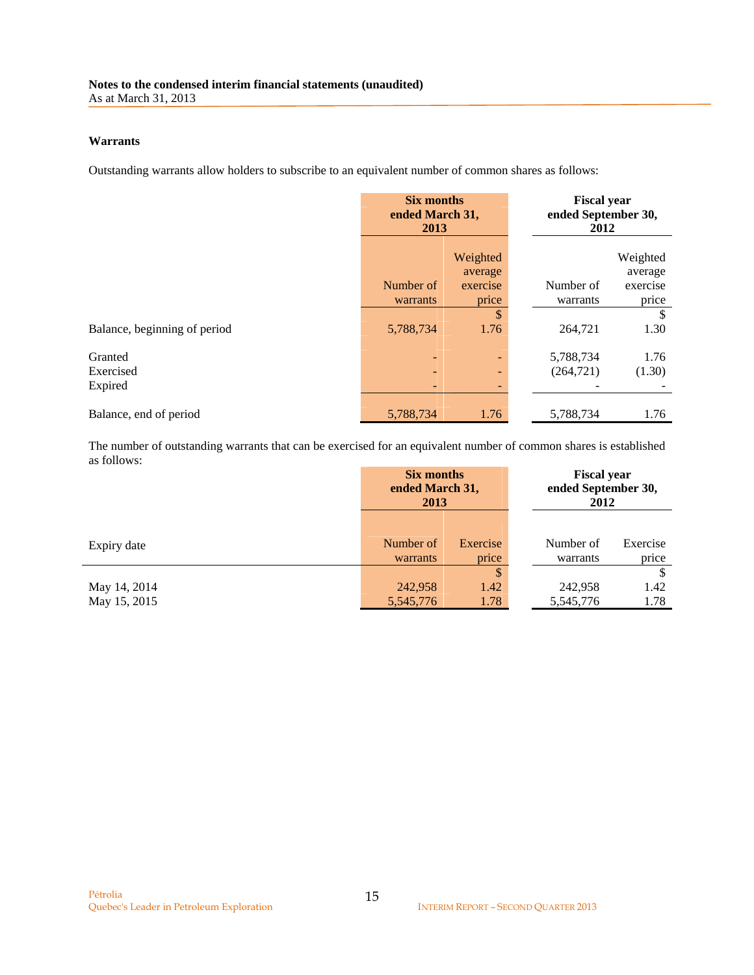### **Warrants**

Outstanding warrants allow holders to subscribe to an equivalent number of common shares as follows:

|                              | <b>Six months</b><br>ended March 31,<br>2013 |                     | <b>Fiscal year</b><br>ended September 30,<br>2012 |                     |
|------------------------------|----------------------------------------------|---------------------|---------------------------------------------------|---------------------|
|                              |                                              | Weighted<br>average |                                                   | Weighted<br>average |
|                              | Number of                                    | exercise            | Number of                                         | exercise            |
|                              | warrants                                     | price               | warrants                                          | price               |
|                              |                                              | \$                  |                                                   | S                   |
| Balance, beginning of period | 5,788,734                                    | 1.76                | 264,721                                           | 1.30                |
| Granted<br>Exercised         |                                              | -                   | 5,788,734<br>(264, 721)                           | 1.76<br>(1.30)      |
| Expired                      |                                              | ٠<br>-              |                                                   |                     |
| Balance, end of period       | 5,788,734                                    | 1.76                | 5,788,734                                         | 1.76                |

The number of outstanding warrants that can be exercised for an equivalent number of common shares is established as follows:

|                              | <b>Six months</b><br>ended March 31,<br>2013 |                    |                       |                   | <b>Fiscal year</b><br>ended September 30,<br>2012 |  |
|------------------------------|----------------------------------------------|--------------------|-----------------------|-------------------|---------------------------------------------------|--|
| Expiry date                  | Number of<br>warrants                        | Exercise<br>price  | Number of<br>warrants | Exercise<br>price |                                                   |  |
| May 14, 2014<br>May 15, 2015 | 242,958<br>5,545,776                         | \$<br>1.42<br>1.78 | 242,958<br>5,545,776  | 1.42<br>1.78      |                                                   |  |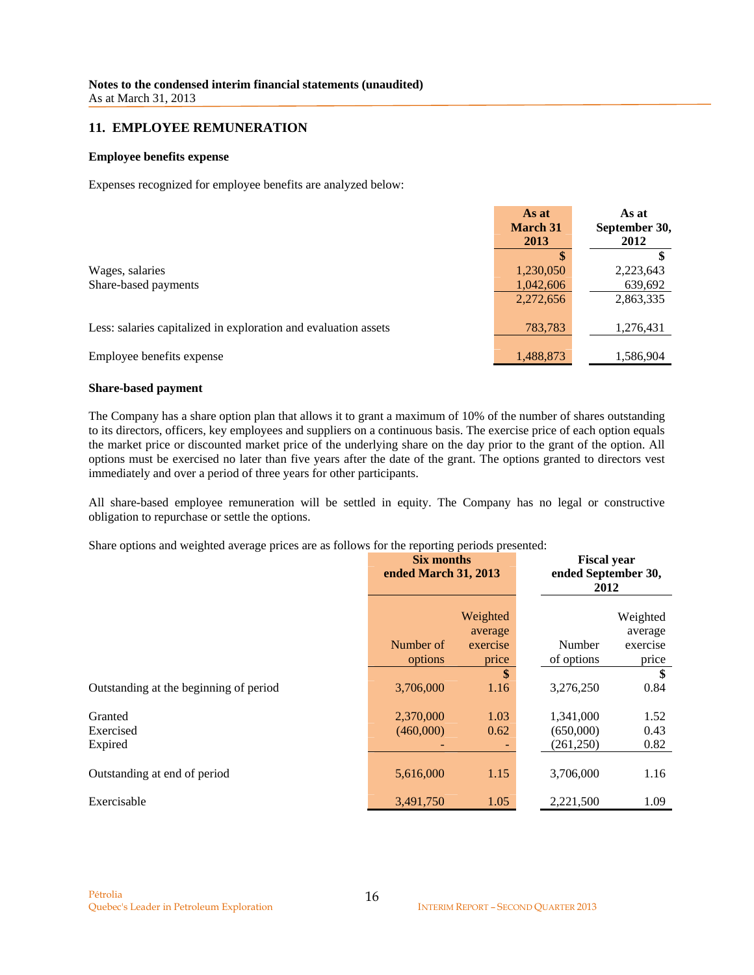### **11. EMPLOYEE REMUNERATION**

#### **Employee benefits expense**

Expenses recognized for employee benefits are analyzed below:

|                                                                 | As at<br><b>March 31</b><br>2013 | As at<br>September 30,<br>2012 |
|-----------------------------------------------------------------|----------------------------------|--------------------------------|
|                                                                 |                                  |                                |
| Wages, salaries                                                 | 1,230,050                        | 2,223,643                      |
| Share-based payments                                            | 1,042,606                        | 639,692                        |
|                                                                 | 2,272,656                        | 2,863,335                      |
| Less: salaries capitalized in exploration and evaluation assets | 783,783                          | 1,276,431                      |
| Employee benefits expense                                       | 1,488,873                        | 1,586,904                      |

#### **Share-based payment**

The Company has a share option plan that allows it to grant a maximum of 10% of the number of shares outstanding to its directors, officers, key employees and suppliers on a continuous basis. The exercise price of each option equals the market price or discounted market price of the underlying share on the day prior to the grant of the option. All options must be exercised no later than five years after the date of the grant. The options granted to directors vest immediately and over a period of three years for other participants.

All share-based employee remuneration will be settled in equity. The Company has no legal or constructive obligation to repurchase or settle the options.

Share options and weighted average prices are as follows for the reporting periods presented:

|                                        | Six months<br>ended March 31, 2013 |                                                | <b>Fiscal year</b><br>ended September 30,<br>2012 |                                                |
|----------------------------------------|------------------------------------|------------------------------------------------|---------------------------------------------------|------------------------------------------------|
|                                        | Number of<br>options               | Weighted<br>average<br>exercise<br>price<br>\$ | Number<br>of options                              | Weighted<br>average<br>exercise<br>price<br>\$ |
| Outstanding at the beginning of period | 3,706,000                          | 1.16                                           | 3,276,250                                         | 0.84                                           |
| Granted<br>Exercised<br>Expired        | 2,370,000<br>(460,000)             | 1.03<br>0.62                                   | 1,341,000<br>(650,000)<br>(261,250)               | 1.52<br>0.43<br>0.82                           |
| Outstanding at end of period           | 5,616,000                          | 1.15                                           | 3,706,000                                         | 1.16                                           |
| Exercisable                            | 3,491,750                          | 1.05                                           | 2,221,500                                         | 1.09                                           |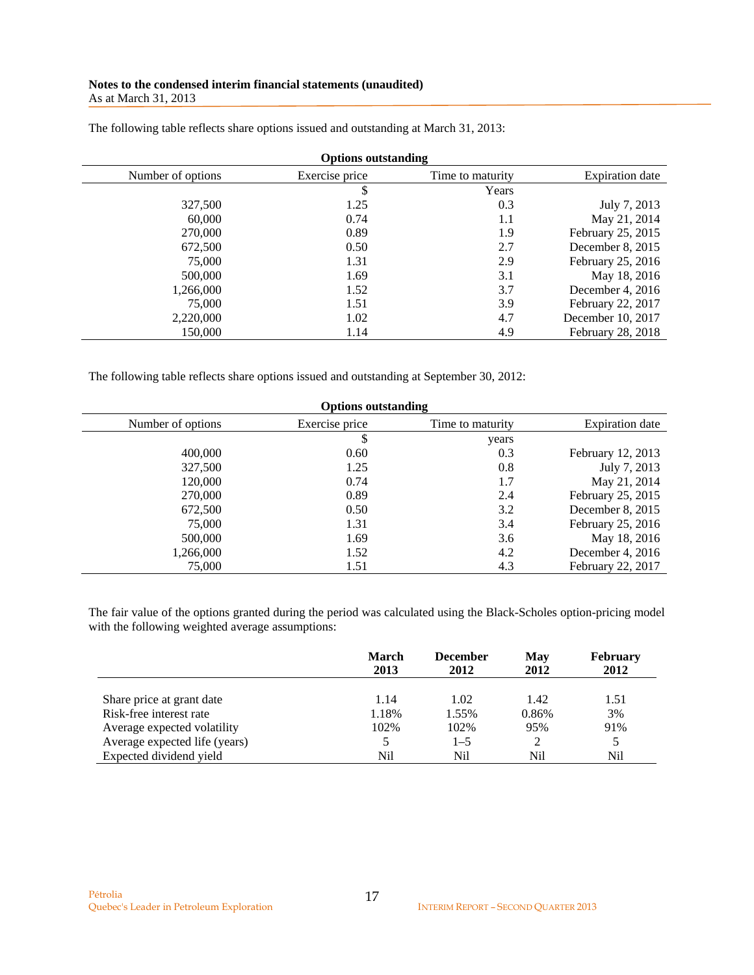| <b>Options outstanding</b> |                |                  |                        |  |
|----------------------------|----------------|------------------|------------------------|--|
| Number of options          | Exercise price | Time to maturity | <b>Expiration</b> date |  |
|                            | \$             | Years            |                        |  |
| 327,500                    | 1.25           | 0.3              | July 7, 2013           |  |
| 60,000                     | 0.74           | 1.1              | May 21, 2014           |  |
| 270,000                    | 0.89           | 1.9              | February 25, 2015      |  |
| 672,500                    | 0.50           | 2.7              | December 8, 2015       |  |
| 75,000                     | 1.31           | 2.9              | February 25, 2016      |  |
| 500,000                    | 1.69           | 3.1              | May 18, 2016           |  |
| 1,266,000                  | 1.52           | 3.7              | December 4, 2016       |  |
| 75,000                     | 1.51           | 3.9              | February 22, 2017      |  |
| 2,220,000                  | 1.02           | 4.7              | December 10, 2017      |  |
| 150,000                    | 1.14           | 4.9              | February 28, 2018      |  |

The following table reflects share options issued and outstanding at March 31, 2013:

The following table reflects share options issued and outstanding at September 30, 2012:

| <b>Options outstanding</b> |                |                  |                   |  |  |  |
|----------------------------|----------------|------------------|-------------------|--|--|--|
| Number of options          | Exercise price | Time to maturity | Expiration date   |  |  |  |
|                            | \$<br>years    |                  |                   |  |  |  |
| 400,000                    | 0.60           | 0.3              | February 12, 2013 |  |  |  |
| 327,500                    | 1.25           | 0.8              | July 7, 2013      |  |  |  |
| 120,000                    | 0.74           | 1.7              | May 21, 2014      |  |  |  |
| 270,000                    | 0.89           | 2.4              | February 25, 2015 |  |  |  |
| 672,500                    | 0.50           | 3.2              | December 8, 2015  |  |  |  |
| 75,000                     | 1.31           | 3.4              | February 25, 2016 |  |  |  |
| 500,000                    | 1.69           | 3.6              | May 18, 2016      |  |  |  |
| 1,266,000                  | 1.52           | 4.2              | December 4, 2016  |  |  |  |
| 75,000                     | 1.51           | 4.3              | February 22, 2017 |  |  |  |

The fair value of the options granted during the period was calculated using the Black-Scholes option-pricing model with the following weighted average assumptions:

|                               | <b>March</b><br>2013 | <b>December</b><br>2012 | May<br>2012 | <b>February</b><br>2012 |
|-------------------------------|----------------------|-------------------------|-------------|-------------------------|
| Share price at grant date     | 1.14                 | 1.02                    | 1.42        | 1.51                    |
| Risk-free interest rate       | 1.18%                | 1.55%                   | 0.86%       | 3%                      |
| Average expected volatility   | 102%                 | 102%                    | 95%         | 91%                     |
| Average expected life (years) |                      | $1 - 5$                 |             |                         |
| Expected dividend yield       | Nil                  | Nil                     | Nil         | Nil                     |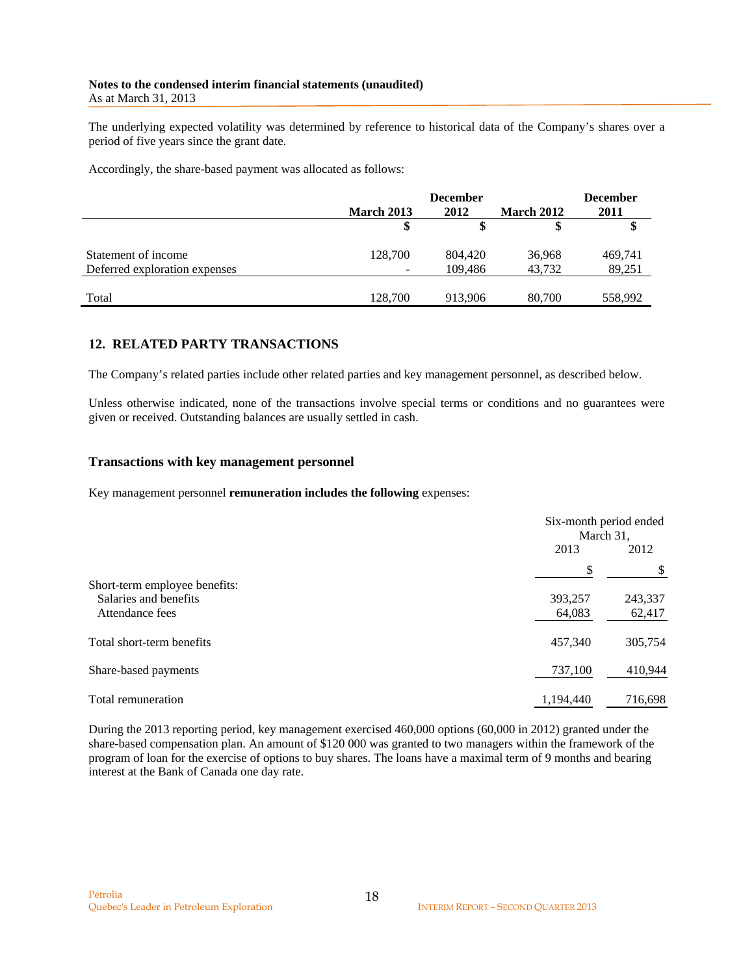The underlying expected volatility was determined by reference to historical data of the Company's shares over a period of five years since the grant date.

Accordingly, the share-based payment was allocated as follows:

|                               |                   | <b>December</b> |                   | <b>December</b> |
|-------------------------------|-------------------|-----------------|-------------------|-----------------|
|                               | <b>March 2013</b> | 2012            | <b>March 2012</b> | 2011            |
|                               |                   |                 |                   |                 |
| Statement of income           | 128,700           | 804,420         | 36,968            | 469,741         |
| Deferred exploration expenses | -                 | 109.486         | 43.732            | 89,251          |
|                               |                   |                 |                   |                 |
| Total                         | 128.700           | 913,906         | 80,700            | 558,992         |

## **12. RELATED PARTY TRANSACTIONS**

The Company's related parties include other related parties and key management personnel, as described below.

Unless otherwise indicated, none of the transactions involve special terms or conditions and no guarantees were given or received. Outstanding balances are usually settled in cash.

### **Transactions with key management personnel**

Key management personnel **remuneration includes the following** expenses:

|                               |           | Six-month period ended<br>March 31, |  |  |
|-------------------------------|-----------|-------------------------------------|--|--|
|                               | 2013      | 2012                                |  |  |
|                               | \$        |                                     |  |  |
| Short-term employee benefits: |           |                                     |  |  |
| Salaries and benefits         | 393,257   | 243,337                             |  |  |
| Attendance fees               | 64,083    | 62,417                              |  |  |
| Total short-term benefits     | 457,340   | 305,754                             |  |  |
| Share-based payments          | 737,100   | 410,944                             |  |  |
| Total remuneration            | 1,194,440 | 716,698                             |  |  |

During the 2013 reporting period, key management exercised 460,000 options (60,000 in 2012) granted under the share-based compensation plan. An amount of \$120 000 was granted to two managers within the framework of the program of loan for the exercise of options to buy shares. The loans have a maximal term of 9 months and bearing interest at the Bank of Canada one day rate.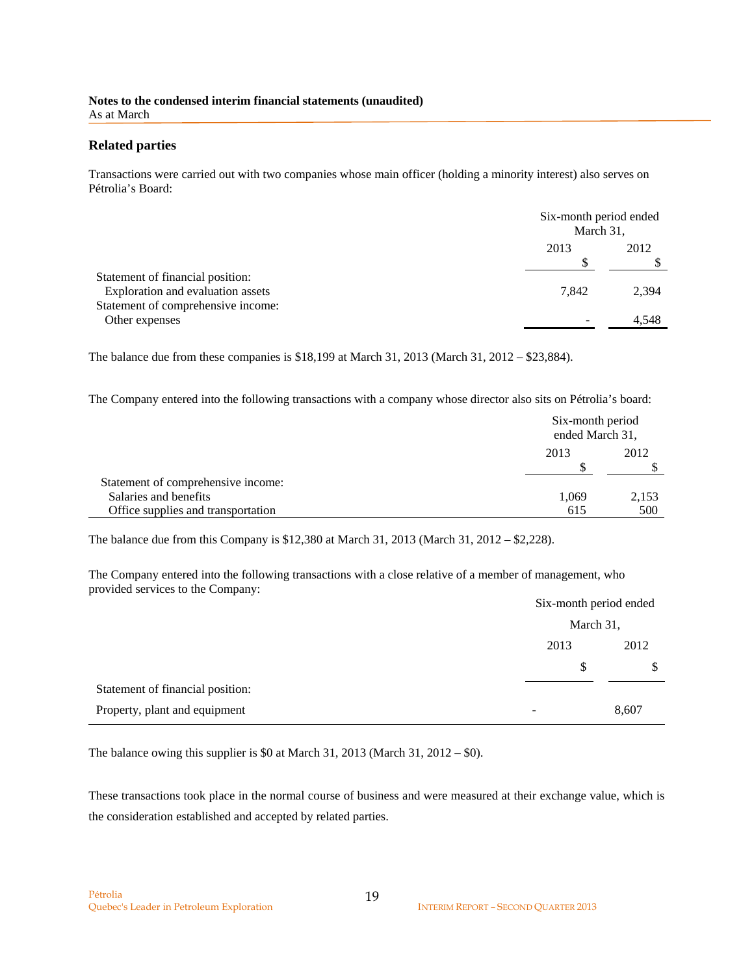### **Related parties**

Transactions were carried out with two companies whose main officer (holding a minority interest) also serves on Pétrolia's Board:

|                                                                       |       | Six-month period ended<br>March 31, |  |  |
|-----------------------------------------------------------------------|-------|-------------------------------------|--|--|
|                                                                       | 2013  | 2012                                |  |  |
| Statement of financial position:<br>Exploration and evaluation assets | 7.842 | 2,394                               |  |  |
| Statement of comprehensive income:<br>Other expenses                  | -     | 4,548                               |  |  |
|                                                                       |       |                                     |  |  |

The balance due from these companies is \$18,199 at March 31, 2013 (March 31, 2012 – \$23,884).

The Company entered into the following transactions with a company whose director also sits on Pétrolia's board:

|                                    |       | Six-month period<br>ended March 31, |  |
|------------------------------------|-------|-------------------------------------|--|
|                                    | 2013  | 2012                                |  |
|                                    |       |                                     |  |
| Statement of comprehensive income: |       |                                     |  |
| Salaries and benefits              | 1.069 | 2,153                               |  |
| Office supplies and transportation | 615   | 500                                 |  |

The balance due from this Company is \$12,380 at March 31, 2013 (March 31, 2012 – \$2,228).

The Company entered into the following transactions with a close relative of a member of management, who provided services to the Company:

| $\overline{\phantom{a}}$         |      | Six-month period ended |  |  |  |
|----------------------------------|------|------------------------|--|--|--|
|                                  |      | March 31,              |  |  |  |
|                                  | 2013 | 2012                   |  |  |  |
|                                  | S    | S                      |  |  |  |
| Statement of financial position: |      |                        |  |  |  |
| Property, plant and equipment    | -    | 8,607                  |  |  |  |

The balance owing this supplier is \$0 at March 31, 2013 (March 31, 2012 – \$0).

These transactions took place in the normal course of business and were measured at their exchange value, which is the consideration established and accepted by related parties.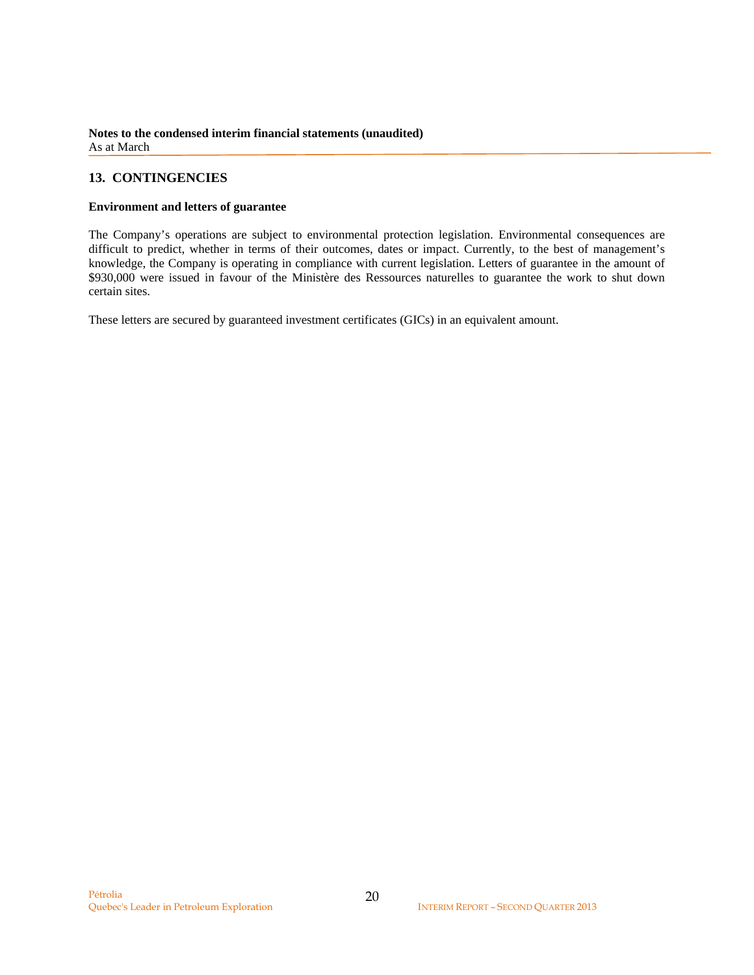## **13. CONTINGENCIES**

#### **Environment and letters of guarantee**

The Company's operations are subject to environmental protection legislation. Environmental consequences are difficult to predict, whether in terms of their outcomes, dates or impact. Currently, to the best of management's knowledge, the Company is operating in compliance with current legislation. Letters of guarantee in the amount of \$930,000 were issued in favour of the Ministère des Ressources naturelles to guarantee the work to shut down certain sites.

These letters are secured by guaranteed investment certificates (GICs) in an equivalent amount.